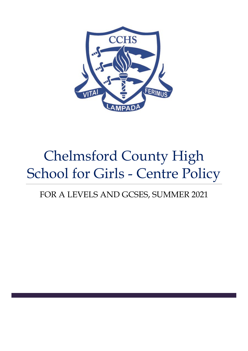

# Chelmsford County High School for Girls - Centre Policy

## FOR A LEVELS AND GCSES, SUMMER 2021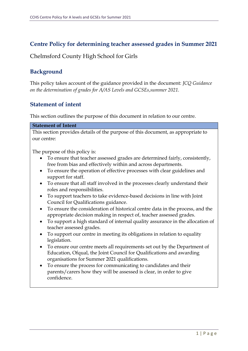## **Centre Policy for determining teacher assessed grades in Summer 2021**

Chelmsford County High School for Girls

## **Background**

This policy takes account of the guidance provided in the document: *JCQ Guidance on the determination of grades for A/AS Levels and GCSEs,summer 2021.*

## **Statement of intent**

This section outlines the purpose of this document in relation to our centre.

#### **Statement of Intent**

This section provides details of the purpose of this document, as appropriate to our centre:

The purpose of this policy is:

- To ensure that teacher assessed grades are determined fairly, consistently, free from bias and effectively within and across departments.
- To ensure the operation of effective processes with clear guidelines and support for staff.
- To ensure that all staff involved in the processes clearly understand their roles and responsibilities.
- To support teachers to take evidence-based decisions in line with Joint Council for Qualifications guidance.
- To ensure the consideration of historical centre data in the process, and the appropriate decision making in respect of, teacher assessed grades.
- To support a high standard of internal quality assurance in the allocation of teacher assessed grades.
- To support our centre in meeting its obligations in relation to equality legislation.
- To ensure our centre meets all requirements set out by the Department of Education, Ofqual, the Joint Council for Qualifications and awarding organisations for Summer 2021 qualifications.
- To ensure the process for communicating to candidates and their parents/carers how they will be assessed is clear, in order to give confidence.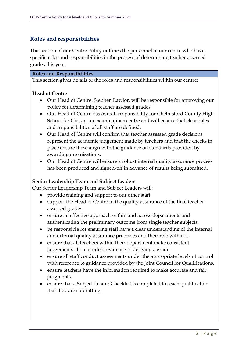## **Roles and responsibilities**

This section of our Centre Policy outlines the personnel in our centre who have specific roles and responsibilities in the process of determining teacher assessed grades this year.

#### **Roles and Responsibilities**

This section gives details of the roles and responsibilities within our centre:

#### **Head of Centre**

- Our Head of Centre, Stephen Lawlor, will be responsible for approving our policy for determining teacher assessed grades.
- Our Head of Centre has overall responsibility for Chelmsford County High School for Girls as an examinations centre and will ensure that clear roles and responsibilities of all staff are defined.
- Our Head of Centre will confirm that teacher assessed grade decisions represent the academic judgement made by teachers and that the checks in place ensure these align with the guidance on standards provided by awarding organisations.
- Our Head of Centre will ensure a robust internal quality assurance process has been produced and signed-off in advance of results being submitted.

#### **Senior Leadership Team and Subject Leaders**

Our Senior Leadership Team and Subject Leaders will:

- provide training and support to our other staff.
- support the Head of Centre in the quality assurance of the final teacher assessed grades.
- ensure an effective approach within and across departments and authenticating the preliminary outcome from single teacher subjects.
- be responsible for ensuring staff have a clear understanding of the internal and external quality assurance processes and their role within it.
- ensure that all teachers within their department make consistent judgements about student evidence in deriving a grade.
- ensure all staff conduct assessments under the appropriate levels of control with reference to guidance provided by the Joint Council for Qualifications.
- ensure teachers have the information required to make accurate and fair judgments.
- ensure that a Subject Leader Checklist is completed for each qualification that they are submitting.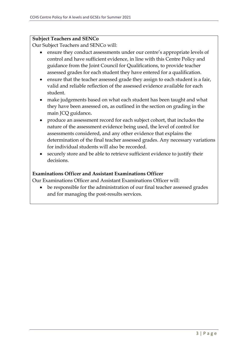#### **Subject Teachers and SENCo**

Our Subject Teachers and SENCo will:

- ensure they conduct assessments under our centre's appropriate levels of control and have sufficient evidence, in line with this Centre Policy and guidance from the Joint Council for Qualifications, to provide teacher assessed grades for each student they have entered for a qualification.
- ensure that the teacher assessed grade they assign to each student is a fair, valid and reliable reflection of the assessed evidence available for each student.
- make judgements based on what each student has been taught and what they have been assessed on, as outlined in the section on grading in the main JCQ guidance**.**
- produce an assessment record for each subject cohort, that includes the nature of the assessment evidence being used, the level of control for assessments considered, and any other evidence that explains the determination of the final teacher assessed grades. Any necessary variations for individual students will also be recorded.
- securely store and be able to retrieve sufficient evidence to justify their decisions.

### **Examinations Officer and Assistant Examinations Officer**

Our Examinations Officer and Assistant Examinations Officer will:

• be responsible for the administration of our final teacher assessed grades and for managing the post-results services.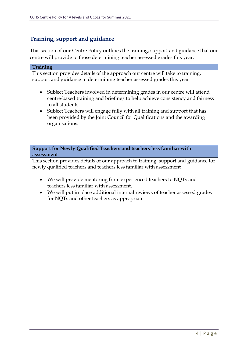## **Training, support and guidance**

This section of our Centre Policy outlines the training, support and guidance that our centre will provide to those determining teacher assessed grades this year.

#### **Training**

This section provides details of the approach our centre will take to training, support and guidance in determining teacher assessed grades this year

- Subject Teachers involved in determining grades in our centre will attend centre-based training and briefings to help achieve consistency and fairness to all students.
- Subject Teachers will engage fully with all training and support that has been provided by the Joint Council for Qualifications and the awarding organisations.

**Support for Newly Qualified Teachers and teachers less familiar with assessment** 

This section provides details of our approach to training, support and guidance for newly qualified teachers and teachers less familiar with assessment

- We will provide mentoring from experienced teachers to NQTs and teachers less familiar with assessment.
- We will put in place additional internal reviews of teacher assessed grades for NQTs and other teachers as appropriate.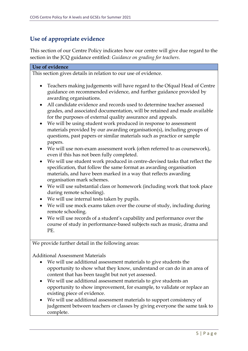## **Use of appropriate evidence**

This section of our Centre Policy indicates how our centre will give due regard to the section in the JCQ guidance entitled: *Guidance on grading for teachers*.

| Use of evidence                                                                                                                                                                                                                                                                                                                                                                                                                                                                                                                                                                                                                                                                                                                                                                                                                                                                                                                                                                                                                                                                                                                                                                                                                                                                                                                                                                                                                                                                                                     |
|---------------------------------------------------------------------------------------------------------------------------------------------------------------------------------------------------------------------------------------------------------------------------------------------------------------------------------------------------------------------------------------------------------------------------------------------------------------------------------------------------------------------------------------------------------------------------------------------------------------------------------------------------------------------------------------------------------------------------------------------------------------------------------------------------------------------------------------------------------------------------------------------------------------------------------------------------------------------------------------------------------------------------------------------------------------------------------------------------------------------------------------------------------------------------------------------------------------------------------------------------------------------------------------------------------------------------------------------------------------------------------------------------------------------------------------------------------------------------------------------------------------------|
| This section gives details in relation to our use of evidence.                                                                                                                                                                                                                                                                                                                                                                                                                                                                                                                                                                                                                                                                                                                                                                                                                                                                                                                                                                                                                                                                                                                                                                                                                                                                                                                                                                                                                                                      |
| Teachers making judgements will have regard to the Ofqual Head of Centre<br>guidance on recommended evidence, and further guidance provided by<br>awarding organisations.<br>All candidate evidence and records used to determine teacher assessed<br>$\bullet$<br>grades, and associated documentation, will be retained and made available<br>for the purposes of external quality assurance and appeals.<br>We will be using student work produced in response to assessment<br>$\bullet$<br>materials provided by our awarding organisation(s), including groups of<br>questions, past papers or similar materials such as practice or sample<br>papers.<br>We will use non-exam assessment work (often referred to as coursework),<br>$\bullet$<br>even if this has not been fully completed.<br>We will use student work produced in centre-devised tasks that reflect the<br>$\bullet$<br>specification, that follow the same format as awarding organisation<br>materials, and have been marked in a way that reflects awarding<br>organisation mark schemes.<br>We will use substantial class or homework (including work that took place<br>$\bullet$<br>during remote schooling).<br>We will use internal tests taken by pupils.<br>$\bullet$<br>We will use mock exams taken over the course of study, including during<br>remote schooling.<br>We will use records of a student's capability and performance over the<br>course of study in performance-based subjects such as music, drama and<br>PE. |
| We provide further detail in the following areas:                                                                                                                                                                                                                                                                                                                                                                                                                                                                                                                                                                                                                                                                                                                                                                                                                                                                                                                                                                                                                                                                                                                                                                                                                                                                                                                                                                                                                                                                   |
|                                                                                                                                                                                                                                                                                                                                                                                                                                                                                                                                                                                                                                                                                                                                                                                                                                                                                                                                                                                                                                                                                                                                                                                                                                                                                                                                                                                                                                                                                                                     |
| <b>Additional Assessment Materials</b><br>We will use additional assessment materials to give students the<br>opportunity to show what they know, understand or can do in an area of<br>content that has been taught but not yet assessed.<br>We will use additional assessment materials to give students an<br>opportunity to show improvement, for example, to validate or replace an<br>existing piece of evidence.                                                                                                                                                                                                                                                                                                                                                                                                                                                                                                                                                                                                                                                                                                                                                                                                                                                                                                                                                                                                                                                                                             |

• We will use additional assessment materials to support consistency of judgement between teachers or classes by giving everyone the same task to complete.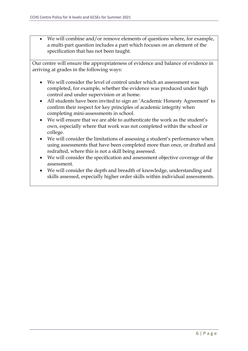• We will combine and/or remove elements of questions where, for example, a multi-part question includes a part which focuses on an element of the specification that has not been taught.

Our centre will ensure the appropriateness of evidence and balance of evidence in arriving at grades in the following ways:

- We will consider the level of control under which an assessment was completed, for example, whether the evidence was produced under high control and under supervision or at home.
- All students have been invited to sign an 'Academic Honesty Agreement' to confirm their respect for key principles of academic integrity when completing mini-assessments in school.
- We will ensure that we are able to authenticate the work as the student's own, especially where that work was not completed within the school or college.
- We will consider the limitations of assessing a student's performance when using assessments that have been completed more than once, or drafted and redrafted, where this is not a skill being assessed.
- We will consider the specification and assessment objective coverage of the assessment.
- We will consider the depth and breadth of knowledge, understanding and skills assessed, especially higher order skills within individual assessments.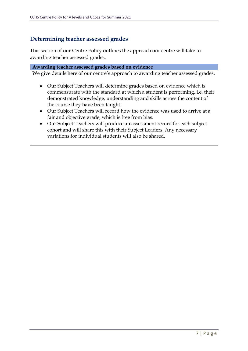## **Determining teacher assessed grades**

This section of our Centre Policy outlines the approach our centre will take to awarding teacher assessed grades.

## **Awarding teacher assessed grades based on evidence**

We give details here of our centre's approach to awarding teacher assessed grades.

- Our Subject Teachers will determine grades based on evidence which is commensurate with the standard at which a student is performing, i.e. their demonstrated knowledge, understanding and skills across the content of the course they have been taught.
- Our Subject Teachers will record how the evidence was used to arrive at a fair and objective grade, which is free from bias.
- Our Subject Teachers will produce an assessment record for each subject cohort and will share this with their Subject Leaders. Any necessary variations for individual students will also be shared.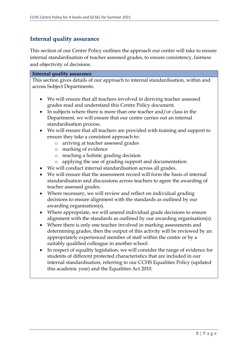## **Internal quality assurance**

This section of our Centre Policy outlines the approach our centre will take to ensure internal standardisation of teacher assessed grades, to ensure consistency, fairness and objectivity of decisions.

#### **Internal quality assurance**

This section gives details of our approach to internal standardisation, within and across Subject Departments.

- We will ensure that all teachers involved in deriving teacher assessed grades read and understand this Centre Policy document.
- In subjects where there is more than one teacher and/or class in the Department, we will ensure that our centre carries out an internal standardisation process.
- We will ensure that all teachers are provided with training and support to ensure they take a consistent approach to:
	- o arriving at teacher assessed grades
	- o marking of evidence
	- o reaching a holistic grading decision
	- o applying the use of grading support and documentation
- We will conduct internal standardisation across all grades.
- We will ensure that the assessment record will form the basis of internal standardisation and discussions across teachers to agree the awarding of teacher assessed grades.
- Where necessary, we will review and reflect on individual grading decisions to ensure alignment with the standards as outlined by our awarding organisation(s).
- Where appropriate, we will amend individual grade decisions to ensure alignment with the standards as outlined by our awarding organisation(s).
- Where there is only one teacher involved in marking assessments and determining grades, then the output of this activity will be reviewed by an appropriately experienced member of staff within the centre or by a suitably qualified colleague in another school.
- In respect of equality legislation, we will consider the range of evidence for students of different protected characteristics that are included in our internal standardisation, referring to our CCHS Equalities Policy (updated this academic year) and the Equalities Act 2010.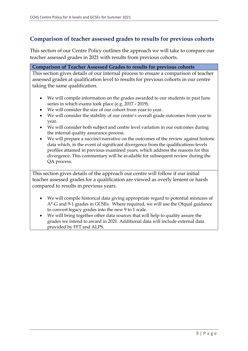## **Comparison of teacher assessed grades to results for previous cohorts**

This section of our Centre Policy outlines the approach we will take to compare our teacher assessed grades in 2021 with results from previous cohorts.

#### **Comparison of Teacher Assessed Grades to results for previous cohorts**

This section gives details of our internal process to ensure a comparison of teacher assessed grades at qualification level to results for previous cohorts in our centre taking the same qualification.

- We will compile information on the grades awarded to our students in past June series in which exams took place (e.g. 2017 - 2019).
- We will consider the size of our cohort from year to year.
- We will consider the stability of our centre's overall grade outcomes from year to year.
- We will consider both subject and centre level variation in our outcomes during the internal quality assurance process.
- We will prepare a succinct narrative on the outcomes of the review against historic data which, in the event of significant divergence from the qualifications-levels profiles attained in previous examined years, which address the reasons for this divergence. This commentary will be available for subsequent review during the QA process.

This section gives details of the approach our centre will follow if our initial teacher assessed grades for a qualification are viewed as overly lenient or harsh compared to results in previous years.

- We will compile historical data giving appropriate regard to potential mixtures of A\*-G and 9-1 grades in GCSEs. Where required, we will use the Ofqual guidance to convert legacy grades into the new 9 to 1 scale.
- We will bring together other data sources that will help to quality assure the grades we intend to award in 2021. Additional data will include external data provided by FFT and ALPS.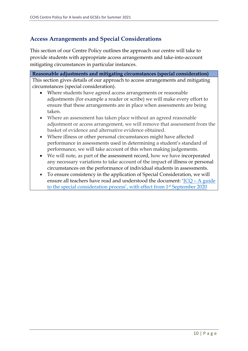## **Access Arrangements and Special Considerations**

This section of our Centre Policy outlines the approach our centre will take to provide students with appropriate access arrangements and take-into-account mitigating circumstances in particular instances.

**Reasonable adjustments and mitigating circumstances (special consideration)** This section gives details of our approach to access arrangements and mitigating circumstances (special consideration). • Where students have agreed access arrangements or reasonable adjustments (for example a reader or scribe) we will make every effort to ensure that these arrangements are in place when assessments are being taken. • Where an assessment has taken place without an agreed reasonable adjustment or access arrangement, we will remove that assessment from the basket of evidence and alternative evidence obtained. • Where illness or other personal circumstances might have affected performance in assessments used in determining a student's standard of performance, we will take account of this when making judgements.

- We will note, as part of the assessment record, how we have incorporated any necessary variations to take account of the impact of illness or personal circumstances on the performance of individual students in assessments.
- To ensure consistency in the application of Special Consideration, we will ensure all teachers have read and understood the document: 'JCQ – [A guide](https://www.jcq.org.uk/wp-content/uploads/2020/08/A-guide-to-the-spec-con-process-202021-Website-version.pdf)  [to the special consideration process](https://www.jcq.org.uk/wp-content/uploads/2020/08/A-guide-to-the-spec-con-process-202021-Website-version.pdf)', with effect from 1s<sup>t</sup> September 2020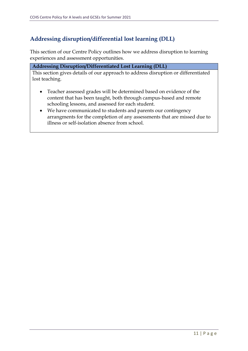## **Addressing disruption/differential lost learning (DLL)**

This section of our Centre Policy outlines how we address disruption to learning experiences and assessment opportunities.

#### **Addressing Disruption/Differentiated Lost Learning (DLL)**

This section gives details of our approach to address disruption or differentiated lost teaching.

- Teacher assessed grades will be determined based on evidence of the content that has been taught, both through campus-based and remote schooling lessons, and assessed for each student.
- We have communicated to students and parents our contingency arrangments for the completion of any assessments that are missed due to illness or self-isolation absence from school.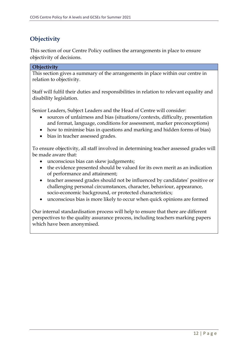## **Objectivity**

This section of our Centre Policy outlines the arrangements in place to ensure objectivity of decisions.

#### **Objectivity**

This section gives a summary of the arrangements in place within our centre in relation to objectivity.

Staff will fulfil their duties and responsibilities in relation to relevant equality and disability legislation.

Senior Leaders, Subject Leaders and the Head of Centre will consider:

- sources of unfairness and bias (situations/contexts, difficulty, presentation and format, language, conditions for assessment, marker preconceptions)
- how to minimise bias in questions and marking and hidden forms of bias)
- bias in teacher assessed grades.

To ensure objectivity, all staff involved in determining teacher assessed grades will be made aware that:

- unconscious bias can skew judgements;
- the evidence presented should be valued for its own merit as an indication of performance and attainment;
- teacher assessed grades should not be influenced by candidates' positive or challenging personal circumstances, character, behaviour, appearance, socio-economic background, or protected characteristics;
- unconscious bias is more likely to occur when quick opinions are formed

Our internal standardisation process will help to ensure that there are different perspectives to the quality assurance process, including teachers marking papers which have been anonymised.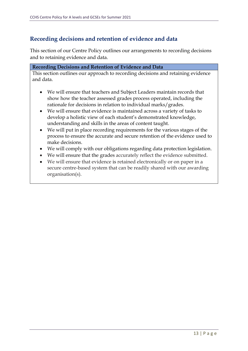## **Recording decisions and retention of evidence and data**

This section of our Centre Policy outlines our arrangements to recording decisions and to retaining evidence and data.

#### **Recording Decisions and Retention of Evidence and Data**

This section outlines our approach to recording decisions and retaining evidence and data.

- We will ensure that teachers and Subject Leaders maintain records that show how the teacher assessed grades process operated, including the rationale for decisions in relation to individual marks/grades.
- We will ensure that evidence is maintained across a variety of tasks to develop a holistic view of each student's demonstrated knowledge, understanding and skills in the areas of content taught.
- We will put in place recording requirements for the various stages of the process to ensure the accurate and secure retention of the evidence used to make decisions.
- We will comply with our obligations regarding data protection legislation.
- We will ensure that the grades accurately reflect the evidence submitted.
- We will ensure that evidence is retained electronically or on paper in a secure centre-based system that can be readily shared with our awarding organisation(s).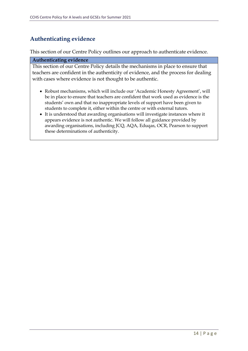## **Authenticating evidence**

This section of our Centre Policy outlines our approach to authenticate evidence.

#### **Authenticating evidence**

This section of our Centre Policy details the mechanisms in place to ensure that teachers are confident in the authenticity of evidence, and the process for dealing with cases where evidence is not thought to be authentic.

- Robust mechanisms, which will include our 'Academic Honesty Agreement', will be in place to ensure that teachers are confident that work used as evidence is the students' own and that no inappropriate levels of support have been given to students to complete it, either within the centre or with external tutors.
- It is understood that awarding organisations will investigate instances where it appears evidence is not authentic. We will follow all guidance provided by awarding organisations, including JCQ, AQA, Eduqas, OCR, Pearson to support these determinations of authenticity.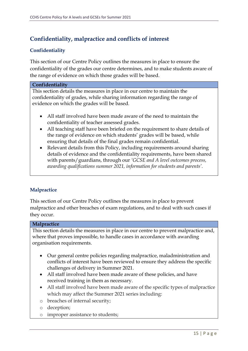## **Confidentiality, malpractice and conflicts of interest**

#### **Confidentiality**

This section of our Centre Policy outlines the measures in place to ensure the confidentiality of the grades our centre determines, and to make students aware of the range of evidence on which those grades will be based.

#### **Confidentiality**

This section details the measures in place in our centre to maintain the confidentiality of grades, while sharing information regarding the range of evidence on which the grades will be based.

- All staff involved have been made aware of the need to maintain the confidentiality of teacher assessed grades.
- All teaching staff have been briefed on the requirement to share details of the range of evidence on which students' grades will be based, while ensuring that details of the final grades remain confidential.
- Relevant details from this Policy, including requirements around sharing details of evidence and the confidentiality requirements, have been shared with parents/guardians, through our *'GCSE and A level outcomes process, awarding qualifications summer 2021, information for students and parents'.*

#### **Malpractice**

This section of our Centre Policy outlines the measures in place to prevent malpractice and other breaches of exam regulations, and to deal with such cases if they occur.

#### **Malpractice**

This section details the measures in place in our centre to prevent malpractice and, where that proves impossible, to handle cases in accordance with awarding organisation requirements.

- Our general centre policies regarding malpractice, maladministration and conflicts of interest have been reviewed to ensure they address the specific challenges of delivery in Summer 2021.
- All staff involved have been made aware of these policies, and have received training in them as necessary.
- All staff involved have been made aware of the specific types of malpractice which may affect the Summer 2021 series including:
- o breaches of internal security;
- o deception;
- o improper assistance to students;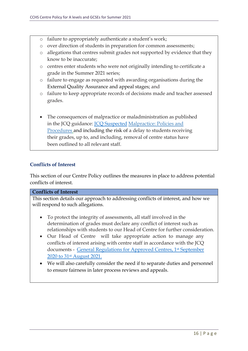- o failure to appropriately authenticate a student's work;
- o over direction of students in preparation for common assessments;
- o allegations that centres submit grades not supported by evidence that they know to be inaccurate;
- o centres enter students who were not originally intending to certificate a grade in the Summer 2021 series;
- o failure to engage as requested with awarding organisations during the External Quality Assurance and appeal stages; and
- o failure to keep appropriate records of decisions made and teacher assessed grades.
- The consequences of malpractice or maladministration as published in the JCQ guidance: *[JCQ Suspected](https://www.jcq.org.uk/exams-office/malpractice/jcq-suspected-malpractice-policies-and-procedures-2019-2020) Malpractice: Policies and* Procedures and including the risk of a delay to students receiving their grades, up to, and including, removal of centre status have been outlined to all relevant staff.

#### **Conflicts of Interest**

This section of our Centre Policy outlines the measures in place to address potential conflicts of interest.

#### **Conflicts of Interest**

This section details our approach to addressing conflicts of interest, and how we will respond to such allegations.

- To protect the integrity of assessments, all staff involved in the determination of grades must declare any conflict of interest such as relationships with students to our Head of Centre for further consideration.
- Our Head of Centre will take appropriate action to manage any conflicts of interest arising with centre staff in accordance with the JCQ documents - [General Regulations for Approved Centres, 1](https://www.jcq.org.uk/wp-content/uploads/2020/09/Gen_regs_approved_centres_20-21_FINAL.pdf)st September 2020 to 31st [August 2021.](https://www.jcq.org.uk/wp-content/uploads/2020/09/Gen_regs_approved_centres_20-21_FINAL.pdf)
- We will also carefully consider the need if to separate duties and personnel to ensure fairness in later process reviews and appeals.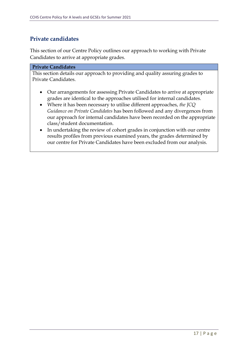## **Private candidates**

This section of our Centre Policy outlines our approach to working with Private Candidates to arrive at appropriate grades.

#### **Private Candidates**

This section details our approach to providing and quality assuring grades to Private Candidates.

- Our arrangements for assessing Private Candidates to arrive at appropriate grades are identical to the approaches utilised for internal candidates.
- Where it has been necessary to utilise different approaches, *the JCQ Guidance on Private Candidates* has been followed and any divergences from our approach for internal candidates have been recorded on the appropriate class/student documentation.
- In undertaking the review of cohort grades in conjunction with our centre results profiles from previous examined years, the grades determined by our centre for Private Candidates have been excluded from our analysis.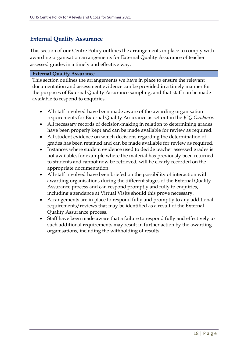## **External Quality Assurance**

This section of our Centre Policy outlines the arrangements in place to comply with awarding organisation arrangements for External Quality Assurance of teacher assessed grades in a timely and effective way.

#### **External Quality Assurance**

This section outlines the arrangements we have in place to ensure the relevant documentation and assessment evidence can be provided in a timely manner for the purposes of External Quality Assurance sampling, and that staff can be made available to respond to enquiries.

- All staff involved have been made aware of the awarding organisation requirements for External Quality Assurance as set out in the *JCQ Guidance.*
- All necessary records of decision-making in relation to determining grades have been properly kept and can be made available for review as required.
- All student evidence on which decisions regarding the determination of grades has been retained and can be made available for review as required.
- Instances where student evidence used to decide teacher assessed grades is not available, for example where the material has previously been returned to students and cannot now be retrieved, will be clearly recorded on the appropriate documentation.
- All staff involved have been briefed on the possibility of interaction with awarding organisations during the different stages of the External Quality Assurance process and can respond promptly and fully to enquiries, including attendance at Virtual Visits should this prove necessary.
- Arrangements are in place to respond fully and promptly to any additional requirements/reviews that may be identified as a result of the External Quality Assurance process.
- Staff have been made aware that a failure to respond fully and effectively to such additional requirements may result in further action by the awarding organisations, including the withholding of results.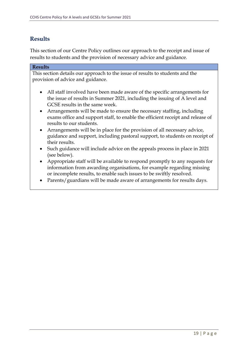## **Results**

This section of our Centre Policy outlines our approach to the receipt and issue of results to students and the provision of necessary advice and guidance.

| <b>Results</b>                                                                                                                                                                                                                             |
|--------------------------------------------------------------------------------------------------------------------------------------------------------------------------------------------------------------------------------------------|
| This section details our approach to the issue of results to students and the<br>provision of advice and guidance.                                                                                                                         |
| All staff involved have been made aware of the specific arrangements for<br>$\bullet$<br>the issue of results in Summer 2021, including the issuing of A level and<br>GCSE results in the same week.                                       |
| Arrangements will be made to ensure the necessary staffing, including<br>$\bullet$<br>exams office and support staff, to enable the efficient receipt and release of<br>results to our students.                                           |
| Arrangements will be in place for the provision of all necessary advice,<br>guidance and support, including pastoral support, to students on receipt of<br>their results.                                                                  |
| Such guidance will include advice on the appeals process in place in 2021<br>(see below).                                                                                                                                                  |
| Appropriate staff will be available to respond promptly to any requests for<br>$\bullet$<br>information from awarding organisations, for example regarding missing<br>or incomplete results, to enable such issues to be swiftly resolved. |
| Parents/guardians will be made aware of arrangements for results days.                                                                                                                                                                     |